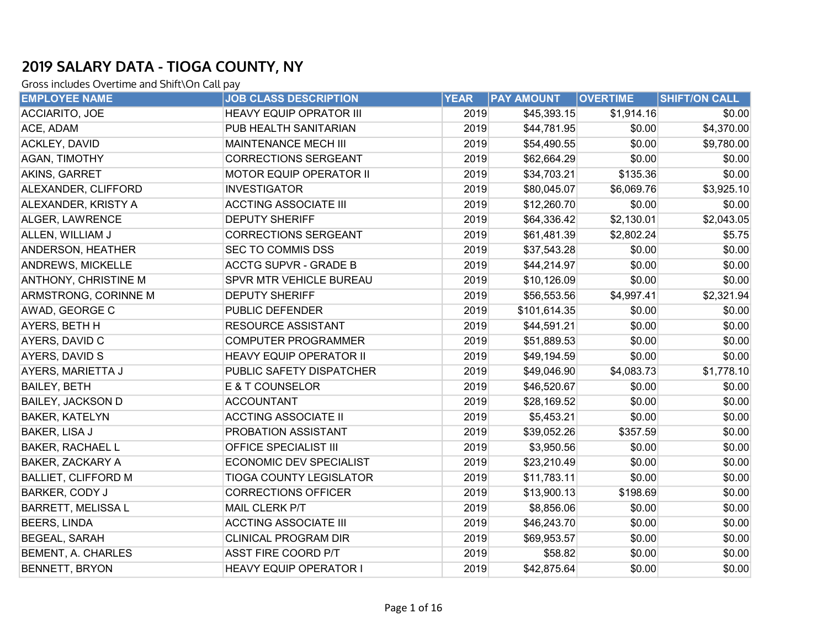| <b>EMPLOYEE NAME</b>        | <b>JOB CLASS DESCRIPTION</b>   | <b>YEAR</b> | <b>PAY AMOUNT</b> | <b>OVERTIME</b> | <b>SHIFT/ON CALL</b> |
|-----------------------------|--------------------------------|-------------|-------------------|-----------------|----------------------|
| <b>ACCIARITO, JOE</b>       | <b>HEAVY EQUIP OPRATOR III</b> | 2019        | \$45,393.15       | \$1,914.16      | \$0.00               |
| ACE, ADAM                   | PUB HEALTH SANITARIAN          | 2019        | \$44,781.95       | \$0.00          | \$4,370.00           |
| <b>ACKLEY, DAVID</b>        | MAINTENANCE MECH III           | 2019        | \$54,490.55       | \$0.00          | \$9,780.00           |
| AGAN, TIMOTHY               | <b>CORRECTIONS SERGEANT</b>    | 2019        | \$62,664.29       | \$0.00          | \$0.00               |
| AKINS, GARRET               | MOTOR EQUIP OPERATOR II        | 2019        | \$34,703.21       | \$135.36        | \$0.00               |
| ALEXANDER, CLIFFORD         | <b>INVESTIGATOR</b>            | 2019        | \$80,045.07       | \$6,069.76      | \$3,925.10           |
| ALEXANDER, KRISTY A         | <b>ACCTING ASSOCIATE III</b>   | 2019        | \$12,260.70       | \$0.00          | \$0.00               |
| ALGER, LAWRENCE             | <b>DEPUTY SHERIFF</b>          | 2019        | \$64,336.42       | \$2,130.01      | \$2,043.05           |
| ALLEN, WILLIAM J            | <b>CORRECTIONS SERGEANT</b>    | 2019        | \$61,481.39       | \$2,802.24      | \$5.75               |
| ANDERSON, HEATHER           | SEC TO COMMIS DSS              | 2019        | \$37,543.28       | \$0.00          | \$0.00               |
| <b>ANDREWS, MICKELLE</b>    | <b>ACCTG SUPVR - GRADE B</b>   | 2019        | \$44,214.97       | \$0.00          | \$0.00               |
| <b>ANTHONY, CHRISTINE M</b> | SPVR MTR VEHICLE BUREAU        | 2019        | \$10,126.09       | \$0.00          | \$0.00               |
| ARMSTRONG, CORINNE M        | <b>DEPUTY SHERIFF</b>          | 2019        | \$56,553.56       | \$4,997.41      | \$2,321.94           |
| AWAD, GEORGE C              | PUBLIC DEFENDER                | 2019        | \$101,614.35      | \$0.00          | \$0.00               |
| AYERS, BETH H               | <b>RESOURCE ASSISTANT</b>      | 2019        | \$44,591.21       | \$0.00          | \$0.00               |
| AYERS, DAVID C              | <b>COMPUTER PROGRAMMER</b>     | 2019        | \$51,889.53       | \$0.00          | \$0.00               |
| AYERS, DAVID S              | <b>HEAVY EQUIP OPERATOR II</b> | 2019        | \$49,194.59       | \$0.00          | \$0.00               |
| AYERS, MARIETTA J           | PUBLIC SAFETY DISPATCHER       | 2019        | \$49,046.90       | \$4,083.73      | \$1,778.10           |
| <b>BAILEY, BETH</b>         | E & T COUNSELOR                | 2019        | \$46,520.67       | \$0.00          | \$0.00               |
| <b>BAILEY, JACKSON D</b>    | <b>ACCOUNTANT</b>              | 2019        | \$28,169.52       | \$0.00          | \$0.00               |
| <b>BAKER, KATELYN</b>       | <b>ACCTING ASSOCIATE II</b>    | 2019        | \$5,453.21        | \$0.00          | \$0.00               |
| BAKER, LISA J               | PROBATION ASSISTANT            | 2019        | \$39,052.26       | \$357.59        | \$0.00               |
| <b>BAKER, RACHAEL L</b>     | <b>OFFICE SPECIALIST III</b>   | 2019        | \$3,950.56        | \$0.00          | \$0.00               |
| <b>BAKER, ZACKARY A</b>     | ECONOMIC DEV SPECIALIST        | 2019        | \$23,210.49       | \$0.00          | \$0.00               |
| <b>BALLIET, CLIFFORD M</b>  | <b>TIOGA COUNTY LEGISLATOR</b> | 2019        | \$11,783.11       | \$0.00          | \$0.00               |
| BARKER, CODY J              | <b>CORRECTIONS OFFICER</b>     | 2019        | \$13,900.13       | \$198.69        | \$0.00               |
| <b>BARRETT, MELISSA L</b>   | MAIL CLERK P/T                 | 2019        | \$8,856.06        | \$0.00          | \$0.00               |
| <b>BEERS, LINDA</b>         | <b>ACCTING ASSOCIATE III</b>   | 2019        | \$46,243.70       | \$0.00          | \$0.00               |
| <b>BEGEAL, SARAH</b>        | <b>CLINICAL PROGRAM DIR</b>    | 2019        | \$69,953.57       | \$0.00          | \$0.00               |
| BEMENT, A. CHARLES          | <b>ASST FIRE COORD P/T</b>     | 2019        | \$58.82           | \$0.00          | \$0.00               |
| <b>BENNETT, BRYON</b>       | <b>HEAVY EQUIP OPERATOR I</b>  | 2019        | \$42,875.64       | \$0.00          | \$0.00               |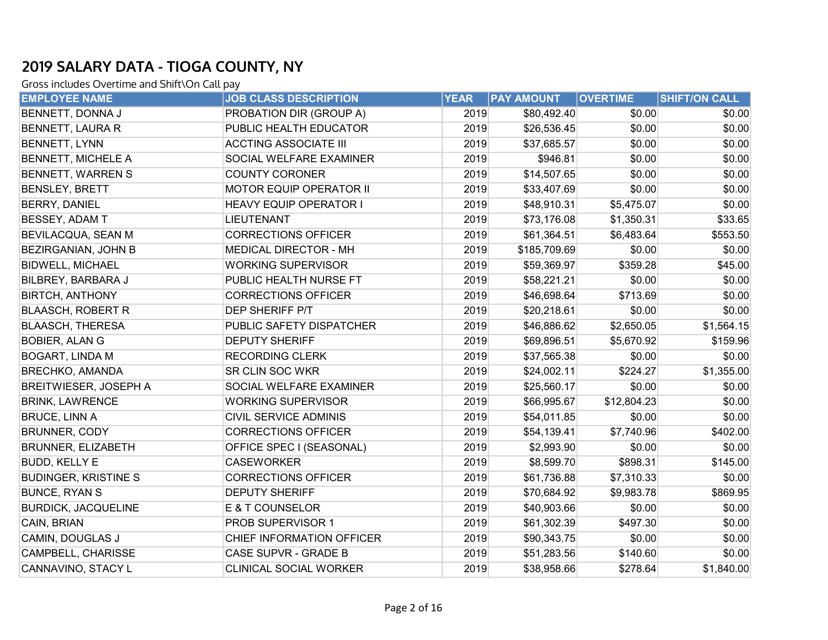| <b>EMPLOYEE NAME</b>         | <b>JOB CLASS DESCRIPTION</b>   | <b>YEAR</b> | <b>PAY AMOUNT</b> | <b>OVERTIME</b> | SHIFT/ON CALL |
|------------------------------|--------------------------------|-------------|-------------------|-----------------|---------------|
| BENNETT, DONNA J             | PROBATION DIR (GROUP A)        | 2019        | \$80,492.40       | \$0.00          | \$0.00        |
| BENNETT, LAURA R             | PUBLIC HEALTH EDUCATOR         | 2019        | \$26,536.45       | \$0.00          | \$0.00        |
| BENNETT, LYNN                | <b>ACCTING ASSOCIATE III</b>   | 2019        | \$37,685.57       | \$0.00          | \$0.00        |
| <b>BENNETT, MICHELE A</b>    | SOCIAL WELFARE EXAMINER        | 2019        | \$946.81          | \$0.00          | \$0.00        |
| BENNETT, WARREN S            | <b>COUNTY CORONER</b>          | 2019        | \$14,507.65       | \$0.00          | \$0.00        |
| <b>BENSLEY, BRETT</b>        | <b>MOTOR EQUIP OPERATOR II</b> | 2019        | \$33,407.69       | \$0.00          | \$0.00        |
| BERRY, DANIEL                | <b>HEAVY EQUIP OPERATOR I</b>  | 2019        | \$48,910.31       | \$5,475.07      | \$0.00        |
| BESSEY, ADAM T               | <b>LIEUTENANT</b>              | 2019        | \$73,176.08       | \$1,350.31      | \$33.65       |
| BEVILACQUA, SEAN M           | <b>CORRECTIONS OFFICER</b>     | 2019        | \$61,364.51       | \$6,483.64      | \$553.50      |
| BEZIRGANIAN, JOHN B          | <b>MEDICAL DIRECTOR - MH</b>   | 2019        | \$185,709.69      | \$0.00          | \$0.00        |
| <b>BIDWELL, MICHAEL</b>      | <b>WORKING SUPERVISOR</b>      | 2019        | \$59,369.97       | \$359.28        | \$45.00       |
| BILBREY, BARBARA J           | PUBLIC HEALTH NURSE FT         | 2019        | \$58,221.21       | \$0.00          | \$0.00        |
| <b>BIRTCH, ANTHONY</b>       | <b>CORRECTIONS OFFICER</b>     | 2019        | \$46,698.64       | \$713.69        | \$0.00        |
| <b>BLAASCH, ROBERT R</b>     | DEP SHERIFF P/T                | 2019        | \$20,218.61       | \$0.00          | \$0.00        |
| <b>BLAASCH, THERESA</b>      | PUBLIC SAFETY DISPATCHER       | 2019        | \$46,886.62       | \$2,650.05      | \$1,564.15    |
| <b>BOBIER, ALAN G</b>        | <b>DEPUTY SHERIFF</b>          | 2019        | \$69,896.51       | \$5,670.92      | \$159.96      |
| <b>BOGART, LINDA M</b>       | <b>RECORDING CLERK</b>         | 2019        | \$37,565.38       | \$0.00          | \$0.00        |
| <b>BRECHKO, AMANDA</b>       | SR CLIN SOC WKR                | 2019        | \$24,002.11       | \$224.27        | \$1,355.00    |
| <b>BREITWIESER, JOSEPH A</b> | SOCIAL WELFARE EXAMINER        | 2019        | \$25,560.17       | \$0.00          | \$0.00        |
| <b>BRINK, LAWRENCE</b>       | <b>WORKING SUPERVISOR</b>      | 2019        | \$66,995.67       | \$12,804.23     | \$0.00        |
| <b>BRUCE, LINN A</b>         | <b>CIVIL SERVICE ADMINIS</b>   | 2019        | \$54,011.85       | \$0.00          | \$0.00        |
| <b>BRUNNER, CODY</b>         | <b>CORRECTIONS OFFICER</b>     | 2019        | \$54,139.41       | \$7,740.96      | \$402.00      |
| <b>BRUNNER, ELIZABETH</b>    | OFFICE SPEC I (SEASONAL)       | 2019        | \$2,993.90        | \$0.00          | \$0.00        |
| <b>BUDD, KELLY E</b>         | <b>CASEWORKER</b>              | 2019        | \$8,599.70        | \$898.31        | \$145.00      |
| <b>BUDINGER, KRISTINE S</b>  | <b>CORRECTIONS OFFICER</b>     | 2019        | \$61,736.88       | \$7,310.33      | \$0.00        |
| <b>BUNCE, RYAN S</b>         | <b>DEPUTY SHERIFF</b>          | 2019        | \$70,684.92       | \$9,983.78      | \$869.95      |
| <b>BURDICK, JACQUELINE</b>   | <b>E &amp; T COUNSELOR</b>     | 2019        | \$40,903.66       | \$0.00          | \$0.00        |
| CAIN, BRIAN                  | PROB SUPERVISOR 1              | 2019        | \$61,302.39       | \$497.30        | \$0.00        |
| CAMIN, DOUGLAS J             | CHIEF INFORMATION OFFICER      | 2019        | \$90,343.75       | \$0.00          | \$0.00        |
| CAMPBELL, CHARISSE           | CASE SUPVR - GRADE B           | 2019        | \$51,283.56       | \$140.60        | \$0.00        |
| CANNAVINO, STACY L           | <b>CLINICAL SOCIAL WORKER</b>  | 2019        | \$38,958.66       | \$278.64        | \$1,840.00    |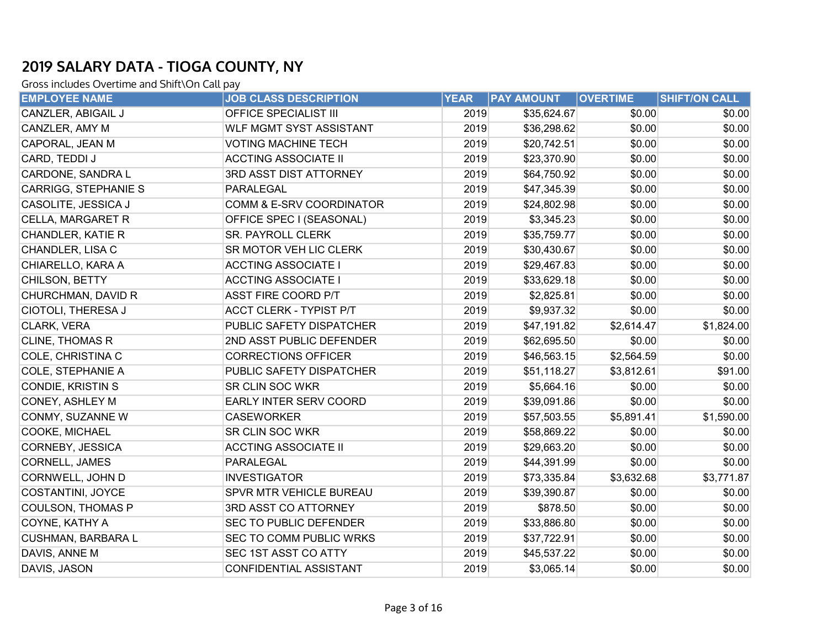| <b>EMPLOYEE NAME</b>      | <b>JOB CLASS DESCRIPTION</b>   | <b>YEAR</b> | <b>PAY AMOUNT</b> | <b>OVERTIME</b> | SHIFT/ON CALL |
|---------------------------|--------------------------------|-------------|-------------------|-----------------|---------------|
| CANZLER, ABIGAIL J        | OFFICE SPECIALIST III          | 2019        | \$35,624.67       | \$0.00          | \$0.00        |
| CANZLER, AMY M            | <b>WLF MGMT SYST ASSISTANT</b> | 2019        | \$36,298.62       | \$0.00          | \$0.00        |
| CAPORAL, JEAN M           | <b>VOTING MACHINE TECH</b>     | 2019        | \$20,742.51       | \$0.00          | \$0.00        |
| CARD, TEDDI J             | <b>ACCTING ASSOCIATE II</b>    | 2019        | \$23,370.90       | \$0.00          | \$0.00        |
| CARDONE, SANDRA L         | 3RD ASST DIST ATTORNEY         | 2019        | \$64,750.92       | \$0.00          | \$0.00        |
| CARRIGG, STEPHANIE S      | PARALEGAL                      | 2019        | \$47,345.39       | \$0.00          | \$0.00        |
| CASOLITE, JESSICA J       | COMM & E-SRV COORDINATOR       | 2019        | \$24,802.98       | \$0.00          | \$0.00        |
| CELLA, MARGARET R         | OFFICE SPEC I (SEASONAL)       | 2019        | \$3,345.23        | \$0.00          | \$0.00        |
| CHANDLER, KATIE R         | <b>SR. PAYROLL CLERK</b>       | 2019        | \$35,759.77       | \$0.00          | \$0.00        |
| CHANDLER, LISA C          | SR MOTOR VEH LIC CLERK         | 2019        | \$30,430.67       | \$0.00          | \$0.00        |
| CHIARELLO, KARA A         | <b>ACCTING ASSOCIATE I</b>     | 2019        | \$29,467.83       | \$0.00          | \$0.00        |
| CHILSON, BETTY            | <b>ACCTING ASSOCIATE I</b>     | 2019        | \$33,629.18       | \$0.00          | \$0.00        |
| CHURCHMAN, DAVID R        | ASST FIRE COORD P/T            | 2019        | \$2,825.81        | \$0.00          | \$0.00        |
| CIOTOLI, THERESA J        | <b>ACCT CLERK - TYPIST P/T</b> | 2019        | \$9,937.32        | \$0.00          | \$0.00        |
| CLARK, VERA               | PUBLIC SAFETY DISPATCHER       | 2019        | \$47,191.82       | \$2,614.47      | \$1,824.00    |
| <b>CLINE, THOMAS R</b>    | 2ND ASST PUBLIC DEFENDER       | 2019        | \$62,695.50       | \$0.00          | \$0.00        |
| COLE, CHRISTINA C         | <b>CORRECTIONS OFFICER</b>     | 2019        | \$46,563.15       | \$2,564.59      | \$0.00        |
| <b>COLE, STEPHANIE A</b>  | PUBLIC SAFETY DISPATCHER       | 2019        | \$51,118.27       | \$3,812.61      | \$91.00       |
| CONDIE, KRISTIN S         | <b>SR CLIN SOC WKR</b>         | 2019        | \$5,664.16        | \$0.00          | \$0.00        |
| CONEY, ASHLEY M           | <b>EARLY INTER SERV COORD</b>  | 2019        | \$39,091.86       | \$0.00          | \$0.00        |
| CONMY, SUZANNE W          | <b>CASEWORKER</b>              | 2019        | \$57,503.55       | \$5,891.41      | \$1,590.00    |
| <b>COOKE, MICHAEL</b>     | <b>SR CLIN SOC WKR</b>         | 2019        | \$58,869.22       | \$0.00          | \$0.00        |
| CORNEBY, JESSICA          | <b>ACCTING ASSOCIATE II</b>    | 2019        | \$29,663.20       | \$0.00          | \$0.00        |
| <b>CORNELL, JAMES</b>     | PARALEGAL                      | 2019        | \$44,391.99       | \$0.00          | \$0.00        |
| CORNWELL, JOHN D          | <b>INVESTIGATOR</b>            | 2019        | \$73,335.84       | \$3,632.68      | \$3,771.87    |
| COSTANTINI, JOYCE         | <b>SPVR MTR VEHICLE BUREAU</b> | 2019        | \$39,390.87       | \$0.00          | \$0.00        |
| <b>COULSON, THOMAS P</b>  | 3RD ASST CO ATTORNEY           | 2019        | \$878.50          | \$0.00          | \$0.00        |
| COYNE, KATHY A            | <b>SEC TO PUBLIC DEFENDER</b>  | 2019        | \$33,886.80       | \$0.00          | \$0.00        |
| <b>CUSHMAN, BARBARA L</b> | <b>SEC TO COMM PUBLIC WRKS</b> | 2019        | \$37,722.91       | \$0.00          | \$0.00        |
| DAVIS, ANNE M             | <b>SEC 1ST ASST CO ATTY</b>    | 2019        | \$45,537.22       | \$0.00          | \$0.00        |
| DAVIS, JASON              | CONFIDENTIAL ASSISTANT         | 2019        | \$3,065.14        | \$0.00          | \$0.00        |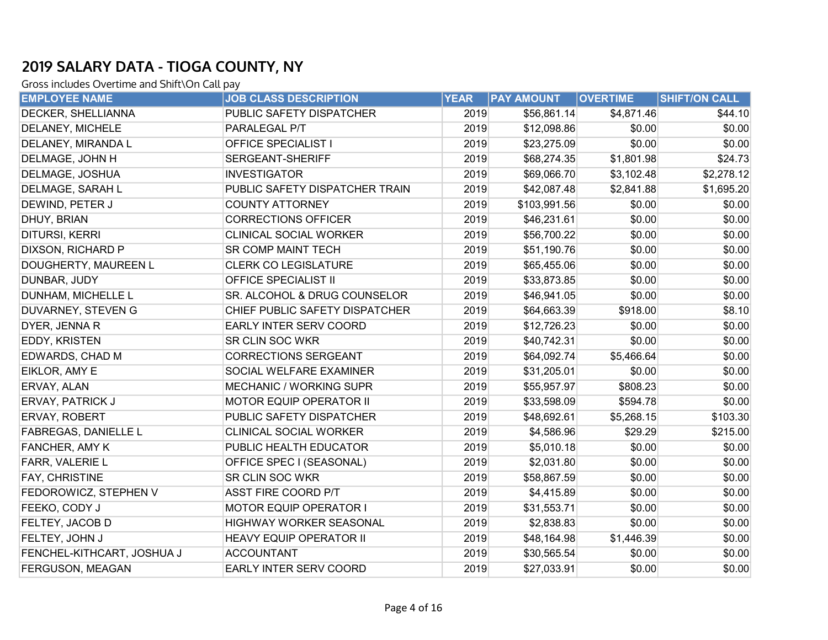| <b>EMPLOYEE NAME</b>       | <b>JOB CLASS DESCRIPTION</b>   | <b>YEAR</b> | <b>PAY AMOUNT</b> | <b>OVERTIME</b> | <b>SHIFT/ON CALL</b> |
|----------------------------|--------------------------------|-------------|-------------------|-----------------|----------------------|
| DECKER, SHELLIANNA         | PUBLIC SAFETY DISPATCHER       | 2019        | \$56,861.14       | \$4,871.46      | \$44.10              |
| DELANEY, MICHELE           | PARALEGAL P/T                  | 2019        | \$12,098.86       | \$0.00          | \$0.00               |
| DELANEY, MIRANDA L         | <b>OFFICE SPECIALIST I</b>     | 2019        | \$23,275.09       | \$0.00          | \$0.00               |
| DELMAGE, JOHN H            | SERGEANT-SHERIFF               | 2019        | \$68,274.35       | \$1,801.98      | \$24.73              |
| DELMAGE, JOSHUA            | <b>INVESTIGATOR</b>            | 2019        | \$69,066.70       | \$3,102.48      | \$2,278.12           |
| DELMAGE, SARAH L           | PUBLIC SAFETY DISPATCHER TRAIN | 2019        | \$42,087.48       | \$2,841.88      | \$1,695.20           |
| DEWIND, PETER J            | <b>COUNTY ATTORNEY</b>         | 2019        | \$103,991.56      | \$0.00          | \$0.00               |
| DHUY, BRIAN                | <b>CORRECTIONS OFFICER</b>     | 2019        | \$46,231.61       | \$0.00          | \$0.00               |
| DITURSI, KERRI             | CLINICAL SOCIAL WORKER         | 2019        | \$56,700.22       | \$0.00          | \$0.00               |
| DIXSON, RICHARD P          | <b>SR COMP MAINT TECH</b>      | 2019        | \$51,190.76       | \$0.00          | \$0.00               |
| DOUGHERTY, MAUREEN L       | <b>CLERK CO LEGISLATURE</b>    | 2019        | \$65,455.06       | \$0.00          | \$0.00               |
| DUNBAR, JUDY               | OFFICE SPECIALIST II           | 2019        | \$33,873.85       | \$0.00          | \$0.00               |
| DUNHAM, MICHELLE L         | SR. ALCOHOL & DRUG COUNSELOR   | 2019        | \$46,941.05       | \$0.00          | \$0.00               |
| DUVARNEY, STEVEN G         | CHIEF PUBLIC SAFETY DISPATCHER | 2019        | \$64,663.39       | \$918.00        | \$8.10               |
| DYER, JENNA R              | EARLY INTER SERV COORD         | 2019        | \$12,726.23       | \$0.00          | \$0.00               |
| EDDY, KRISTEN              | SR CLIN SOC WKR                | 2019        | \$40,742.31       | \$0.00          | \$0.00               |
| EDWARDS, CHAD M            | <b>CORRECTIONS SERGEANT</b>    | 2019        | \$64,092.74       | \$5,466.64      | \$0.00               |
| EIKLOR, AMY E              | SOCIAL WELFARE EXAMINER        | 2019        | \$31,205.01       | \$0.00          | \$0.00               |
| ERVAY, ALAN                | <b>MECHANIC / WORKING SUPR</b> | 2019        | \$55,957.97       | \$808.23        | \$0.00               |
| ERVAY, PATRICK J           | <b>MOTOR EQUIP OPERATOR II</b> | 2019        | \$33,598.09       | \$594.78        | \$0.00               |
| ERVAY, ROBERT              | PUBLIC SAFETY DISPATCHER       | 2019        | \$48,692.61       | \$5,268.15      | \$103.30             |
| FABREGAS, DANIELLE L       | CLINICAL SOCIAL WORKER         | 2019        | \$4,586.96        | \$29.29         | \$215.00             |
| FANCHER, AMY K             | PUBLIC HEALTH EDUCATOR         | 2019        | \$5,010.18        | \$0.00          | \$0.00               |
| FARR, VALERIE L            | OFFICE SPEC I (SEASONAL)       | 2019        | \$2,031.80        | \$0.00          | \$0.00               |
| FAY, CHRISTINE             | SR CLIN SOC WKR                | 2019        | \$58,867.59       | \$0.00          | \$0.00               |
| FEDOROWICZ, STEPHEN V      | <b>ASST FIRE COORD P/T</b>     | 2019        | \$4,415.89        | \$0.00          | \$0.00               |
| FEEKO, CODY J              | MOTOR EQUIP OPERATOR I         | 2019        | \$31,553.71       | \$0.00          | \$0.00               |
| FELTEY, JACOB D            | HIGHWAY WORKER SEASONAL        | 2019        | \$2,838.83        | \$0.00          | \$0.00               |
| FELTEY, JOHN J             | HEAVY EQUIP OPERATOR II        | 2019        | \$48,164.98       | \$1,446.39      | \$0.00               |
| FENCHEL-KITHCART, JOSHUA J | <b>ACCOUNTANT</b>              | 2019        | \$30,565.54       | \$0.00          | \$0.00               |
| FERGUSON, MEAGAN           | EARLY INTER SERV COORD         | 2019        | \$27,033.91       | \$0.00          | \$0.00               |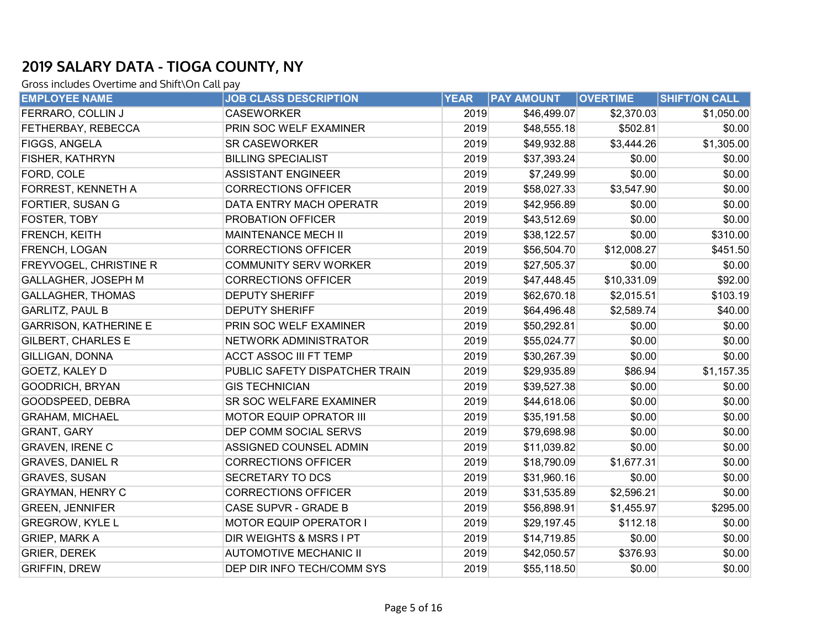| <b>EMPLOYEE NAME</b>         | <b>JOB CLASS DESCRIPTION</b>       | <b>YEAR</b> | <b>PAY AMOUNT</b> | <b>OVERTIME</b> | <b>SHIFT/ON CALL</b> |
|------------------------------|------------------------------------|-------------|-------------------|-----------------|----------------------|
| FERRARO, COLLIN J            | <b>CASEWORKER</b>                  | 2019        | \$46,499.07       | \$2,370.03      | \$1,050.00           |
| FETHERBAY, REBECCA           | PRIN SOC WELF EXAMINER             | 2019        | \$48,555.18       | \$502.81        | \$0.00               |
| <b>FIGGS, ANGELA</b>         | <b>SR CASEWORKER</b>               | 2019        | \$49,932.88       | \$3,444.26      | \$1,305.00           |
| FISHER, KATHRYN              | <b>BILLING SPECIALIST</b>          | 2019        | \$37,393.24       | \$0.00          | \$0.00               |
| FORD, COLE                   | <b>ASSISTANT ENGINEER</b>          | 2019        | \$7,249.99        | \$0.00          | \$0.00               |
| FORREST, KENNETH A           | <b>CORRECTIONS OFFICER</b>         | 2019        | \$58,027.33       | \$3,547.90      | \$0.00               |
| FORTIER, SUSAN G             | DATA ENTRY MACH OPERATR            | 2019        | \$42,956.89       | \$0.00          | \$0.00               |
| FOSTER, TOBY                 | <b>PROBATION OFFICER</b>           | 2019        | \$43,512.69       | \$0.00          | \$0.00               |
| FRENCH, KEITH                | <b>MAINTENANCE MECH II</b>         | 2019        | \$38,122.57       | \$0.00          | \$310.00             |
| FRENCH, LOGAN                | <b>CORRECTIONS OFFICER</b>         | 2019        | \$56,504.70       | \$12,008.27     | \$451.50             |
| FREYVOGEL, CHRISTINE R       | <b>COMMUNITY SERV WORKER</b>       | 2019        | \$27,505.37       | \$0.00          | \$0.00               |
| GALLAGHER, JOSEPH M          | <b>CORRECTIONS OFFICER</b>         | 2019        | \$47,448.45       | \$10,331.09     | \$92.00              |
| <b>GALLAGHER, THOMAS</b>     | <b>DEPUTY SHERIFF</b>              | 2019        | \$62,670.18       | \$2,015.51      | \$103.19             |
| <b>GARLITZ, PAUL B</b>       | <b>DEPUTY SHERIFF</b>              | 2019        | \$64,496.48       | \$2,589.74      | \$40.00              |
| <b>GARRISON, KATHERINE E</b> | PRIN SOC WELF EXAMINER             | 2019        | \$50,292.81       | \$0.00          | \$0.00               |
| <b>GILBERT, CHARLES E</b>    | NETWORK ADMINISTRATOR              | 2019        | \$55,024.77       | \$0.00          | \$0.00               |
| <b>GILLIGAN, DONNA</b>       | <b>ACCT ASSOC III FT TEMP</b>      | 2019        | \$30,267.39       | \$0.00          | \$0.00               |
| <b>GOETZ, KALEY D</b>        | PUBLIC SAFETY DISPATCHER TRAIN     | 2019        | \$29,935.89       | \$86.94         | \$1,157.35           |
| <b>GOODRICH, BRYAN</b>       | <b>GIS TECHNICIAN</b>              | 2019        | \$39,527.38       | \$0.00          | \$0.00               |
| GOODSPEED, DEBRA             | SR SOC WELFARE EXAMINER            | 2019        | \$44,618.06       | \$0.00          | \$0.00               |
| <b>GRAHAM, MICHAEL</b>       | MOTOR EQUIP OPRATOR III            | 2019        | \$35,191.58       | \$0.00          | \$0.00               |
| <b>GRANT, GARY</b>           | DEP COMM SOCIAL SERVS              | 2019        | \$79,698.98       | \$0.00          | \$0.00               |
| <b>GRAVEN, IRENE C</b>       | ASSIGNED COUNSEL ADMIN             | 2019        | \$11,039.82       | \$0.00          | \$0.00               |
| <b>GRAVES, DANIEL R</b>      | <b>CORRECTIONS OFFICER</b>         | 2019        | \$18,790.09       | \$1,677.31      | \$0.00               |
| <b>GRAVES, SUSAN</b>         | <b>SECRETARY TO DCS</b>            | 2019        | \$31,960.16       | \$0.00          | \$0.00               |
| <b>GRAYMAN, HENRY C</b>      | <b>CORRECTIONS OFFICER</b>         | 2019        | \$31,535.89       | \$2,596.21      | \$0.00               |
| <b>GREEN, JENNIFER</b>       | CASE SUPVR - GRADE B               | 2019        | \$56,898.91       | \$1,455.97      | \$295.00             |
| <b>GREGROW, KYLE L</b>       | <b>MOTOR EQUIP OPERATOR I</b>      | 2019        | \$29,197.45       | \$112.18        | \$0.00               |
| <b>GRIEP, MARK A</b>         | <b>DIR WEIGHTS &amp; MSRS I PT</b> | 2019        | \$14,719.85       | \$0.00          | \$0.00               |
| <b>GRIER, DEREK</b>          | <b>AUTOMOTIVE MECHANIC II</b>      | 2019        | \$42,050.57       | \$376.93        | \$0.00               |
| <b>GRIFFIN, DREW</b>         | DEP DIR INFO TECH/COMM SYS         | 2019        | \$55,118.50       | \$0.00          | \$0.00               |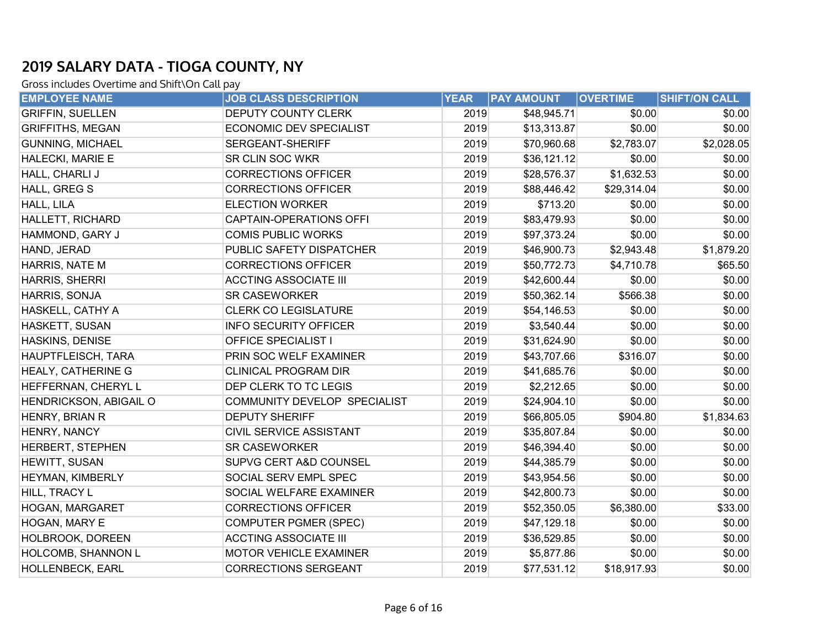| <b>EMPLOYEE NAME</b>      | <b>JOB CLASS DESCRIPTION</b>   | <b>YEAR</b> | <b>PAY AMOUNT</b> | <b>OVERTIME</b> | <b>SHIFT/ON CALL</b> |
|---------------------------|--------------------------------|-------------|-------------------|-----------------|----------------------|
| <b>GRIFFIN, SUELLEN</b>   | <b>DEPUTY COUNTY CLERK</b>     | 2019        | \$48,945.71       | \$0.00          | \$0.00               |
| <b>GRIFFITHS, MEGAN</b>   | <b>ECONOMIC DEV SPECIALIST</b> | 2019        | \$13,313.87       | \$0.00          | \$0.00               |
| <b>GUNNING, MICHAEL</b>   | <b>SERGEANT-SHERIFF</b>        | 2019        | \$70,960.68       | \$2,783.07      | \$2,028.05           |
| HALECKI, MARIE E          | SR CLIN SOC WKR                | 2019        | \$36,121.12       | \$0.00          | \$0.00               |
| HALL, CHARLI J            | <b>CORRECTIONS OFFICER</b>     | 2019        | \$28,576.37       | \$1,632.53      | \$0.00               |
| HALL, GREG S              | <b>CORRECTIONS OFFICER</b>     | 2019        | \$88,446.42       | \$29,314.04     | \$0.00               |
| HALL, LILA                | <b>ELECTION WORKER</b>         | 2019        | \$713.20          | \$0.00          | \$0.00               |
| <b>HALLETT, RICHARD</b>   | CAPTAIN-OPERATIONS OFFI        | 2019        | \$83,479.93       | \$0.00          | \$0.00               |
| HAMMOND, GARY J           | <b>COMIS PUBLIC WORKS</b>      | 2019        | \$97,373.24       | \$0.00          | \$0.00               |
| HAND, JERAD               | PUBLIC SAFETY DISPATCHER       | 2019        | \$46,900.73       | \$2,943.48      | \$1,879.20           |
| <b>HARRIS, NATE M</b>     | <b>CORRECTIONS OFFICER</b>     | 2019        | \$50,772.73       | \$4,710.78      | \$65.50              |
| HARRIS, SHERRI            | <b>ACCTING ASSOCIATE III</b>   | 2019        | \$42,600.44       | \$0.00          | \$0.00               |
| HARRIS, SONJA             | <b>SR CASEWORKER</b>           | 2019        | \$50,362.14       | \$566.38        | \$0.00               |
| HASKELL, CATHY A          | <b>CLERK CO LEGISLATURE</b>    | 2019        | \$54,146.53       | \$0.00          | \$0.00               |
| <b>HASKETT, SUSAN</b>     | <b>INFO SECURITY OFFICER</b>   | 2019        | \$3,540.44        | \$0.00          | \$0.00               |
| HASKINS, DENISE           | <b>OFFICE SPECIALIST I</b>     | 2019        | \$31,624.90       | \$0.00          | \$0.00               |
| HAUPTFLEISCH, TARA        | PRIN SOC WELF EXAMINER         | 2019        | \$43,707.66       | \$316.07        | \$0.00               |
| <b>HEALY, CATHERINE G</b> | <b>CLINICAL PROGRAM DIR</b>    | 2019        | \$41,685.76       | \$0.00          | \$0.00               |
| HEFFERNAN, CHERYL L       | DEP CLERK TO TC LEGIS          | 2019        | \$2,212.65        | \$0.00          | \$0.00               |
| HENDRICKSON, ABIGAIL O    | COMMUNITY DEVELOP SPECIALIST   | 2019        | \$24,904.10       | \$0.00          | \$0.00               |
| HENRY, BRIAN R            | <b>DEPUTY SHERIFF</b>          | 2019        | \$66,805.05       | \$904.80        | \$1,834.63           |
| HENRY, NANCY              | <b>CIVIL SERVICE ASSISTANT</b> | 2019        | \$35,807.84       | \$0.00          | \$0.00               |
| <b>HERBERT, STEPHEN</b>   | <b>SR CASEWORKER</b>           | 2019        | \$46,394.40       | \$0.00          | \$0.00               |
| HEWITT, SUSAN             | SUPVG CERT A&D COUNSEL         | 2019        | \$44,385.79       | \$0.00          | \$0.00               |
| HEYMAN, KIMBERLY          | SOCIAL SERV EMPL SPEC          | 2019        | \$43,954.56       | \$0.00          | \$0.00               |
| HILL, TRACY L             | <b>SOCIAL WELFARE EXAMINER</b> | 2019        | \$42,800.73       | \$0.00          | \$0.00               |
| HOGAN, MARGARET           | <b>CORRECTIONS OFFICER</b>     | 2019        | \$52,350.05       | \$6,380.00      | \$33.00              |
| HOGAN, MARY E             | <b>COMPUTER PGMER (SPEC)</b>   | 2019        | \$47,129.18       | \$0.00          | \$0.00               |
| <b>HOLBROOK, DOREEN</b>   | <b>ACCTING ASSOCIATE III</b>   | 2019        | \$36,529.85       | \$0.00          | \$0.00               |
| HOLCOMB, SHANNON L        | MOTOR VEHICLE EXAMINER         | 2019        | \$5,877.86        | \$0.00          | \$0.00               |
| HOLLENBECK, EARL          | <b>CORRECTIONS SERGEANT</b>    | 2019        | \$77,531.12       | \$18,917.93     | \$0.00               |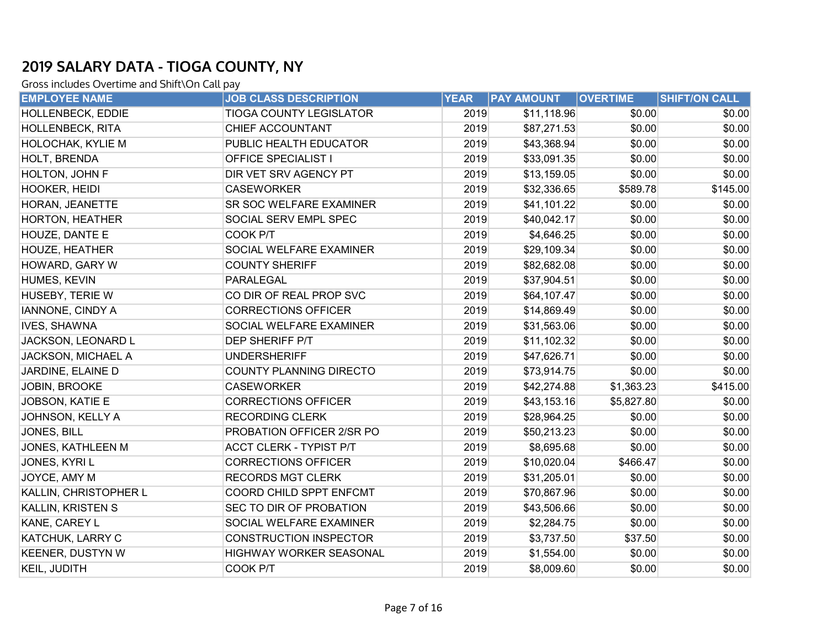| <b>EMPLOYEE NAME</b>    | <b>JOB CLASS DESCRIPTION</b>   | <b>YEAR</b> | <b>PAY AMOUNT</b> | <b>OVERTIME</b> | <b>SHIFT/ON CALL</b> |
|-------------------------|--------------------------------|-------------|-------------------|-----------------|----------------------|
| HOLLENBECK, EDDIE       | <b>TIOGA COUNTY LEGISLATOR</b> | 2019        | \$11,118.96       | \$0.00          | \$0.00               |
| <b>HOLLENBECK, RITA</b> | CHIEF ACCOUNTANT               | 2019        | \$87,271.53       | \$0.00          | \$0.00               |
| HOLOCHAK, KYLIE M       | PUBLIC HEALTH EDUCATOR         | 2019        | \$43,368.94       | \$0.00          | \$0.00               |
| HOLT, BRENDA            | OFFICE SPECIALIST I            | 2019        | \$33,091.35       | \$0.00          | \$0.00               |
| HOLTON, JOHN F          | DIR VET SRV AGENCY PT          | 2019        | \$13,159.05       | \$0.00          | \$0.00               |
| HOOKER, HEIDI           | <b>CASEWORKER</b>              | 2019        | \$32,336.65       | \$589.78        | \$145.00             |
| HORAN, JEANETTE         | SR SOC WELFARE EXAMINER        | 2019        | \$41,101.22       | \$0.00          | \$0.00               |
| <b>HORTON, HEATHER</b>  | SOCIAL SERV EMPL SPEC          | 2019        | \$40,042.17       | \$0.00          | \$0.00               |
| HOUZE, DANTE E          | COOK P/T                       | 2019        | \$4,646.25        | \$0.00          | \$0.00               |
| <b>HOUZE, HEATHER</b>   | SOCIAL WELFARE EXAMINER        | 2019        | \$29,109.34       | \$0.00          | \$0.00               |
| HOWARD, GARY W          | <b>COUNTY SHERIFF</b>          | 2019        | \$82,682.08       | \$0.00          | \$0.00               |
| HUMES, KEVIN            | <b>PARALEGAL</b>               | 2019        | \$37,904.51       | \$0.00          | \$0.00               |
| HUSEBY, TERIE W         | CO DIR OF REAL PROP SVC        | 2019        | \$64,107.47       | \$0.00          | \$0.00               |
| <b>IANNONE, CINDY A</b> | <b>CORRECTIONS OFFICER</b>     | 2019        | \$14,869.49       | \$0.00          | \$0.00               |
| <b>IVES, SHAWNA</b>     | SOCIAL WELFARE EXAMINER        | 2019        | \$31,563.06       | \$0.00          | \$0.00               |
| JACKSON, LEONARD L      | DEP SHERIFF P/T                | 2019        | \$11,102.32       | \$0.00          | \$0.00               |
| JACKSON, MICHAEL A      | <b>UNDERSHERIFF</b>            | 2019        | \$47,626.71       | \$0.00          | \$0.00               |
| JARDINE, ELAINE D       | COUNTY PLANNING DIRECTO        | 2019        | \$73,914.75       | \$0.00          | \$0.00               |
| JOBIN, BROOKE           | <b>CASEWORKER</b>              | 2019        | \$42,274.88       | \$1,363.23      | \$415.00             |
| JOBSON, KATIE E         | <b>CORRECTIONS OFFICER</b>     | 2019        | \$43,153.16       | \$5,827.80      | \$0.00               |
| JOHNSON, KELLY A        | <b>RECORDING CLERK</b>         | 2019        | \$28,964.25       | \$0.00          | \$0.00               |
| JONES, BILL             | PROBATION OFFICER 2/SR PO      | 2019        | \$50,213.23       | \$0.00          | \$0.00               |
| JONES, KATHLEEN M       | <b>ACCT CLERK - TYPIST P/T</b> | 2019        | \$8,695.68        | \$0.00          | \$0.00               |
| JONES, KYRI L           | <b>CORRECTIONS OFFICER</b>     | 2019        | \$10,020.04       | \$466.47        | \$0.00               |
| JOYCE, AMY M            | <b>RECORDS MGT CLERK</b>       | 2019        | \$31,205.01       | \$0.00          | \$0.00               |
| KALLIN, CHRISTOPHER L   | COORD CHILD SPPT ENFCMT        | 2019        | \$70,867.96       | \$0.00          | \$0.00               |
| KALLIN, KRISTEN S       | SEC TO DIR OF PROBATION        | 2019        | \$43,506.66       | \$0.00          | \$0.00               |
| KANE, CAREY L           | SOCIAL WELFARE EXAMINER        | 2019        | \$2,284.75        | \$0.00          | \$0.00               |
| KATCHUK, LARRY C        | <b>CONSTRUCTION INSPECTOR</b>  | 2019        | \$3,737.50        | \$37.50         | \$0.00               |
| <b>KEENER, DUSTYN W</b> | HIGHWAY WORKER SEASONAL        | 2019        | \$1,554.00        | \$0.00          | \$0.00               |
| KEIL, JUDITH            | COOK P/T                       | 2019        | \$8,009.60        | \$0.00          | \$0.00               |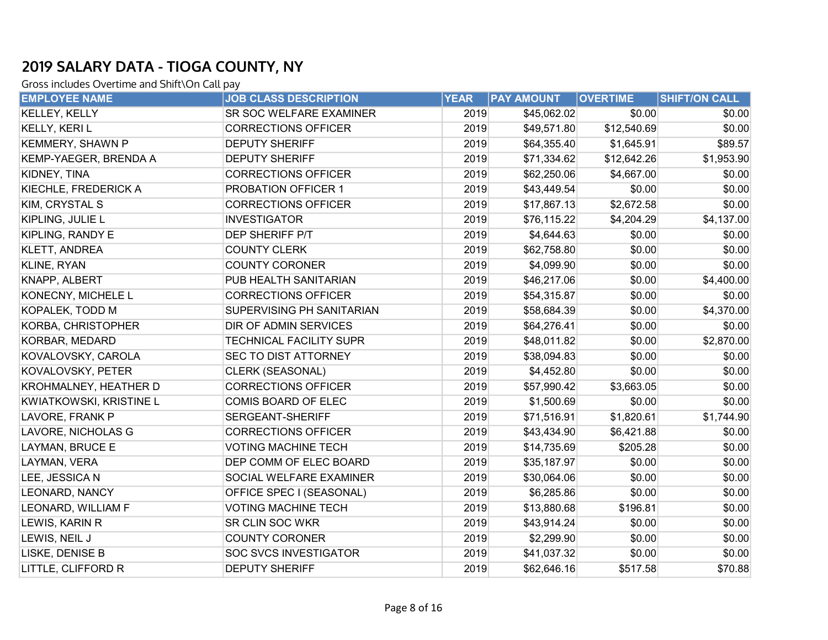| <b>EMPLOYEE NAME</b>    | <b>JOB CLASS DESCRIPTION</b>   | <b>YEAR</b> | <b>PAY AMOUNT</b> | <b>OVERTIME</b> | <b>SHIFT/ON CALL</b> |
|-------------------------|--------------------------------|-------------|-------------------|-----------------|----------------------|
| KELLEY, KELLY           | SR SOC WELFARE EXAMINER        | 2019        | \$45,062.02       | \$0.00          | \$0.00               |
| <b>KELLY, KERIL</b>     | <b>CORRECTIONS OFFICER</b>     | 2019        | \$49,571.80       | \$12,540.69     | \$0.00               |
| <b>KEMMERY, SHAWN P</b> | <b>DEPUTY SHERIFF</b>          | 2019        | \$64,355.40       | \$1,645.91      | \$89.57              |
| KEMP-YAEGER, BRENDA A   | <b>DEPUTY SHERIFF</b>          | 2019        | \$71,334.62       | \$12,642.26     | \$1,953.90           |
| KIDNEY, TINA            | <b>CORRECTIONS OFFICER</b>     | 2019        | \$62,250.06       | \$4,667.00      | \$0.00               |
| KIECHLE, FREDERICK A    | PROBATION OFFICER 1            | 2019        | \$43,449.54       | \$0.00          | \$0.00               |
| KIM, CRYSTAL S          | <b>CORRECTIONS OFFICER</b>     | 2019        | \$17,867.13       | \$2,672.58      | \$0.00               |
| KIPLING, JULIE L        | <b>INVESTIGATOR</b>            | 2019        | \$76,115.22       | \$4,204.29      | \$4,137.00           |
| KIPLING, RANDY E        | DEP SHERIFF P/T                | 2019        | \$4,644.63        | \$0.00          | \$0.00               |
| KLETT, ANDREA           | <b>COUNTY CLERK</b>            | 2019        | \$62,758.80       | \$0.00          | \$0.00               |
| KLINE, RYAN             | <b>COUNTY CORONER</b>          | 2019        | \$4,099.90        | \$0.00          | \$0.00               |
| <b>KNAPP, ALBERT</b>    | PUB HEALTH SANITARIAN          | 2019        | \$46,217.06       | \$0.00          | \$4,400.00           |
| KONECNY, MICHELE L      | <b>CORRECTIONS OFFICER</b>     | 2019        | \$54,315.87       | \$0.00          | \$0.00               |
| KOPALEK, TODD M         | SUPERVISING PH SANITARIAN      | 2019        | \$58,684.39       | \$0.00          | \$4,370.00           |
| KORBA, CHRISTOPHER      | DIR OF ADMIN SERVICES          | 2019        | \$64,276.41       | \$0.00          | \$0.00               |
| KORBAR, MEDARD          | <b>TECHNICAL FACILITY SUPR</b> | 2019        | \$48,011.82       | \$0.00          | \$2,870.00           |
| KOVALOVSKY, CAROLA      | SEC TO DIST ATTORNEY           | 2019        | \$38,094.83       | \$0.00          | \$0.00               |
| KOVALOVSKY, PETER       | CLERK (SEASONAL)               | 2019        | \$4,452.80        | \$0.00          | \$0.00               |
| KROHMALNEY, HEATHER D   | <b>CORRECTIONS OFFICER</b>     | 2019        | \$57,990.42       | \$3,663.05      | \$0.00               |
| KWIATKOWSKI, KRISTINE L | COMIS BOARD OF ELEC            | 2019        | \$1,500.69        | \$0.00          | \$0.00               |
| LAVORE, FRANK P         | SERGEANT-SHERIFF               | 2019        | \$71,516.91       | \$1,820.61      | \$1,744.90           |
| LAVORE, NICHOLAS G      | <b>CORRECTIONS OFFICER</b>     | 2019        | \$43,434.90       | \$6,421.88      | \$0.00               |
| <b>LAYMAN, BRUCE E</b>  | <b>VOTING MACHINE TECH</b>     | 2019        | \$14,735.69       | \$205.28        | \$0.00               |
| LAYMAN, VERA            | DEP COMM OF ELEC BOARD         | 2019        | \$35,187.97       | \$0.00          | \$0.00               |
| LEE, JESSICA N          | SOCIAL WELFARE EXAMINER        | 2019        | \$30,064.06       | \$0.00          | \$0.00               |
| <b>LEONARD, NANCY</b>   | OFFICE SPEC I (SEASONAL)       | 2019        | \$6,285.86        | \$0.00          | \$0.00               |
| LEONARD, WILLIAM F      | <b>VOTING MACHINE TECH</b>     | 2019        | \$13,880.68       | \$196.81        | \$0.00               |
| LEWIS, KARIN R          | <b>SR CLIN SOC WKR</b>         | 2019        | \$43,914.24       | \$0.00          | \$0.00               |
| LEWIS, NEIL J           | <b>COUNTY CORONER</b>          | 2019        | \$2,299.90        | \$0.00          | \$0.00               |
| LISKE, DENISE B         | <b>SOC SVCS INVESTIGATOR</b>   | 2019        | \$41,037.32       | \$0.00          | \$0.00               |
| LITTLE, CLIFFORD R      | <b>DEPUTY SHERIFF</b>          | 2019        | \$62,646.16       | \$517.58        | \$70.88              |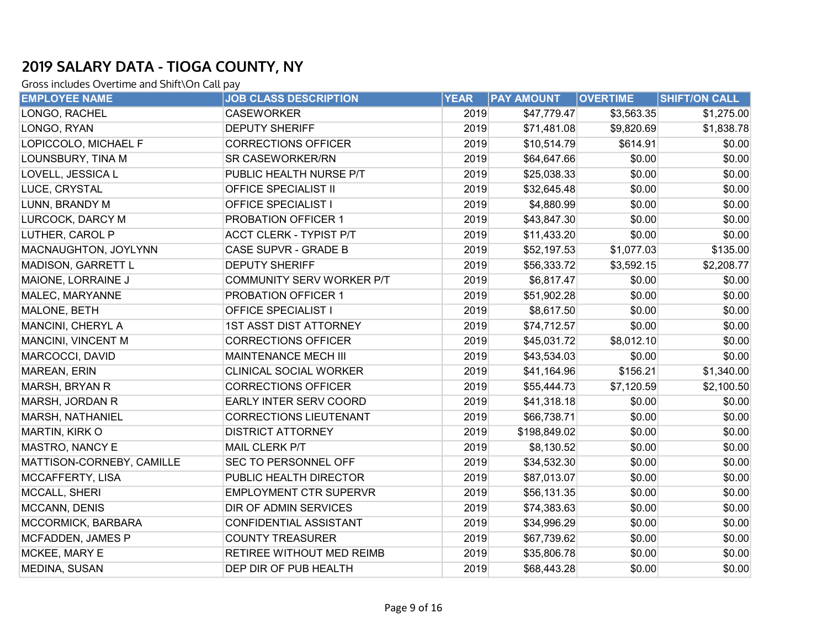| <b>EMPLOYEE NAME</b>      | <b>JOB CLASS DESCRIPTION</b>   | <b>YEAR</b> | <b>PAY AMOUNT</b> | <b>OVERTIME</b> | <b>SHIFT/ON CALL</b> |
|---------------------------|--------------------------------|-------------|-------------------|-----------------|----------------------|
| LONGO, RACHEL             | <b>CASEWORKER</b>              | 2019        | \$47,779.47       | \$3,563.35      | \$1,275.00           |
| LONGO, RYAN               | <b>DEPUTY SHERIFF</b>          | 2019        | \$71,481.08       | \$9,820.69      | \$1,838.78           |
| LOPICCOLO, MICHAEL F      | <b>CORRECTIONS OFFICER</b>     | 2019        | \$10,514.79       | \$614.91        | \$0.00               |
| LOUNSBURY, TINA M         | SR CASEWORKER/RN               | 2019        | \$64,647.66       | \$0.00          | \$0.00               |
| LOVELL, JESSICA L         | PUBLIC HEALTH NURSE P/T        | 2019        | \$25,038.33       | \$0.00          | \$0.00               |
| LUCE, CRYSTAL             | <b>OFFICE SPECIALIST II</b>    | 2019        | \$32,645.48       | \$0.00          | \$0.00               |
| LUNN, BRANDY M            | <b>OFFICE SPECIALIST I</b>     | 2019        | \$4,880.99        | \$0.00          | \$0.00               |
| LURCOCK, DARCY M          | PROBATION OFFICER 1            | 2019        | \$43,847.30       | \$0.00          | \$0.00               |
| LUTHER, CAROL P           | <b>ACCT CLERK - TYPIST P/T</b> | 2019        | \$11,433.20       | \$0.00          | \$0.00               |
| MACNAUGHTON, JOYLYNN      | CASE SUPVR - GRADE B           | 2019        | \$52,197.53       | \$1,077.03      | \$135.00             |
| <b>MADISON, GARRETT L</b> | <b>DEPUTY SHERIFF</b>          | 2019        | \$56,333.72       | \$3,592.15      | \$2,208.77           |
| MAIONE, LORRAINE J        | COMMUNITY SERV WORKER P/T      | 2019        | \$6,817.47        | \$0.00          | \$0.00               |
| MALEC, MARYANNE           | PROBATION OFFICER 1            | 2019        | \$51,902.28       | \$0.00          | \$0.00               |
| MALONE, BETH              | <b>OFFICE SPECIALIST I</b>     | 2019        | \$8,617.50        | \$0.00          | \$0.00               |
| MANCINI, CHERYL A         | <b>1ST ASST DIST ATTORNEY</b>  | 2019        | \$74,712.57       | \$0.00          | \$0.00               |
| MANCINI, VINCENT M        | <b>CORRECTIONS OFFICER</b>     | 2019        | \$45,031.72       | \$8,012.10      | \$0.00               |
| MARCOCCI, DAVID           | <b>MAINTENANCE MECH III</b>    | 2019        | \$43,534.03       | \$0.00          | \$0.00               |
| MAREAN, ERIN              | CLINICAL SOCIAL WORKER         | 2019        | \$41,164.96       | \$156.21        | \$1,340.00           |
| MARSH, BRYAN R            | <b>CORRECTIONS OFFICER</b>     | 2019        | \$55,444.73       | \$7,120.59      | \$2,100.50           |
| MARSH, JORDAN R           | EARLY INTER SERV COORD         | 2019        | \$41,318.18       | \$0.00          | \$0.00               |
| MARSH, NATHANIEL          | <b>CORRECTIONS LIEUTENANT</b>  | 2019        | \$66,738.71       | \$0.00          | \$0.00               |
| MARTIN, KIRK O            | <b>DISTRICT ATTORNEY</b>       | 2019        | \$198,849.02      | \$0.00          | \$0.00               |
| MASTRO, NANCY E           | MAIL CLERK P/T                 | 2019        | \$8,130.52        | \$0.00          | \$0.00               |
| MATTISON-CORNEBY, CAMILLE | SEC TO PERSONNEL OFF           | 2019        | \$34,532.30       | \$0.00          | \$0.00               |
| MCCAFFERTY, LISA          | PUBLIC HEALTH DIRECTOR         | 2019        | \$87,013.07       | \$0.00          | \$0.00               |
| MCCALL, SHERI             | <b>EMPLOYMENT CTR SUPERVR</b>  | 2019        | \$56,131.35       | \$0.00          | \$0.00               |
| MCCANN, DENIS             | DIR OF ADMIN SERVICES          | 2019        | \$74,383.63       | \$0.00          | \$0.00               |
| MCCORMICK, BARBARA        | CONFIDENTIAL ASSISTANT         | 2019        | \$34,996.29       | \$0.00          | \$0.00               |
| MCFADDEN, JAMES P         | <b>COUNTY TREASURER</b>        | 2019        | \$67,739.62       | \$0.00          | \$0.00               |
| MCKEE, MARY E             | RETIREE WITHOUT MED REIMB      | 2019        | \$35,806.78       | \$0.00          | \$0.00               |
| MEDINA, SUSAN             | DEP DIR OF PUB HEALTH          | 2019        | \$68,443.28       | \$0.00          | \$0.00               |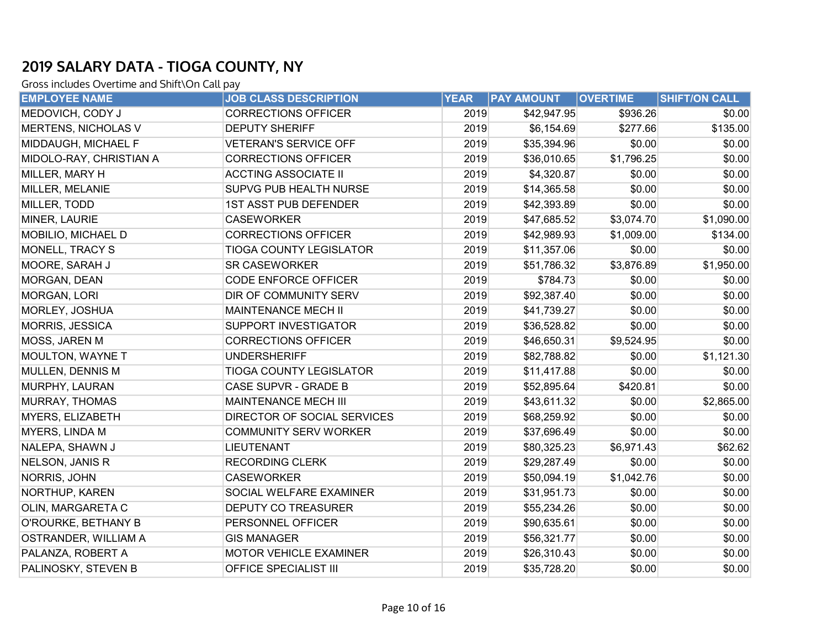| <b>EMPLOYEE NAME</b>    | <b>JOB CLASS DESCRIPTION</b>   | <b>YEAR</b> | <b>PAY AMOUNT</b> | <b>OVERTIME</b> | <b>SHIFT/ON CALL</b> |
|-------------------------|--------------------------------|-------------|-------------------|-----------------|----------------------|
| MEDOVICH, CODY J        | <b>CORRECTIONS OFFICER</b>     | 2019        | \$42,947.95       | \$936.26        | \$0.00               |
| MERTENS, NICHOLAS V     | <b>DEPUTY SHERIFF</b>          | 2019        | \$6,154.69        | \$277.66        | \$135.00             |
| MIDDAUGH, MICHAEL F     | <b>VETERAN'S SERVICE OFF</b>   | 2019        | \$35,394.96       | \$0.00          | \$0.00               |
| MIDOLO-RAY, CHRISTIAN A | <b>CORRECTIONS OFFICER</b>     | 2019        | \$36,010.65       | \$1,796.25      | \$0.00               |
| MILLER, MARY H          | <b>ACCTING ASSOCIATE II</b>    | 2019        | \$4,320.87        | \$0.00          | \$0.00               |
| MILLER, MELANIE         | SUPVG PUB HEALTH NURSE         | 2019        | \$14,365.58       | \$0.00          | \$0.00               |
| MILLER, TODD            | <b>1ST ASST PUB DEFENDER</b>   | 2019        | \$42,393.89       | \$0.00          | \$0.00               |
| MINER, LAURIE           | <b>CASEWORKER</b>              | 2019        | \$47,685.52       | \$3,074.70      | \$1,090.00           |
| MOBILIO, MICHAEL D      | <b>CORRECTIONS OFFICER</b>     | 2019        | \$42,989.93       | \$1,009.00      | \$134.00             |
| MONELL, TRACY S         | <b>TIOGA COUNTY LEGISLATOR</b> | 2019        | \$11,357.06       | \$0.00          | \$0.00               |
| MOORE, SARAH J          | <b>SR CASEWORKER</b>           | 2019        | \$51,786.32       | \$3,876.89      | \$1,950.00           |
| MORGAN, DEAN            | <b>CODE ENFORCE OFFICER</b>    | 2019        | \$784.73          | \$0.00          | \$0.00               |
| MORGAN, LORI            | DIR OF COMMUNITY SERV          | 2019        | \$92,387.40       | \$0.00          | \$0.00               |
| MORLEY, JOSHUA          | <b>MAINTENANCE MECH II</b>     | 2019        | \$41,739.27       | \$0.00          | \$0.00               |
| MORRIS, JESSICA         | SUPPORT INVESTIGATOR           | 2019        | \$36,528.82       | \$0.00          | \$0.00               |
| MOSS, JAREN M           | <b>CORRECTIONS OFFICER</b>     | 2019        | \$46,650.31       | \$9,524.95      | \$0.00               |
| <b>MOULTON, WAYNE T</b> | <b>UNDERSHERIFF</b>            | 2019        | \$82,788.82       | \$0.00          | \$1,121.30           |
| MULLEN, DENNIS M        | <b>TIOGA COUNTY LEGISLATOR</b> | 2019        | \$11,417.88       | \$0.00          | \$0.00               |
| MURPHY, LAURAN          | CASE SUPVR - GRADE B           | 2019        | \$52,895.64       | \$420.81        | \$0.00               |
| <b>MURRAY, THOMAS</b>   | <b>MAINTENANCE MECH III</b>    | 2019        | \$43,611.32       | \$0.00          | \$2,865.00           |
| MYERS, ELIZABETH        | DIRECTOR OF SOCIAL SERVICES    | 2019        | \$68,259.92       | \$0.00          | \$0.00               |
| MYERS, LINDA M          | <b>COMMUNITY SERV WORKER</b>   | 2019        | \$37,696.49       | \$0.00          | \$0.00               |
| NALEPA, SHAWN J         | <b>LIEUTENANT</b>              | 2019        | \$80,325.23       | \$6,971.43      | \$62.62              |
| NELSON, JANIS R         | <b>RECORDING CLERK</b>         | 2019        | \$29,287.49       | \$0.00          | \$0.00               |
| NORRIS, JOHN            | <b>CASEWORKER</b>              | 2019        | \$50,094.19       | \$1,042.76      | \$0.00               |
| NORTHUP, KAREN          | SOCIAL WELFARE EXAMINER        | 2019        | \$31,951.73       | \$0.00          | \$0.00               |
| OLIN, MARGARETA C       | <b>DEPUTY CO TREASURER</b>     | 2019        | \$55,234.26       | \$0.00          | \$0.00               |
| O'ROURKE, BETHANY B     | PERSONNEL OFFICER              | 2019        | \$90,635.61       | \$0.00          | \$0.00               |
| OSTRANDER, WILLIAM A    | <b>GIS MANAGER</b>             | 2019        | \$56,321.77       | \$0.00          | \$0.00               |
| PALANZA, ROBERT A       | MOTOR VEHICLE EXAMINER         | 2019        | \$26,310.43       | \$0.00          | \$0.00               |
| PALINOSKY, STEVEN B     | OFFICE SPECIALIST III          | 2019        | \$35,728.20       | \$0.00          | \$0.00               |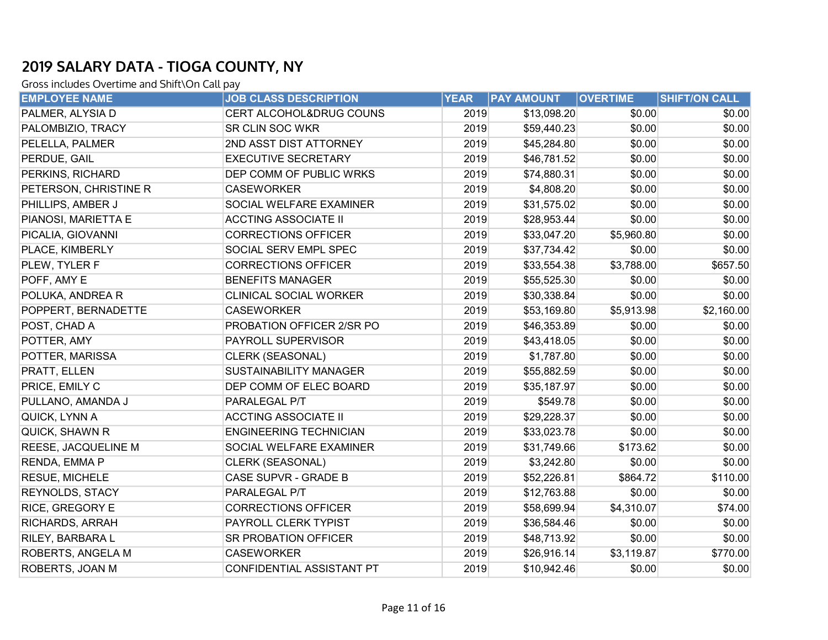| <b>EMPLOYEE NAME</b>  | <b>JOB CLASS DESCRIPTION</b>  | <b>YEAR</b> | <b>PAY AMOUNT</b> | <b>OVERTIME</b> | SHIFT/ON CALL |
|-----------------------|-------------------------------|-------------|-------------------|-----------------|---------------|
| PALMER, ALYSIA D      | CERT ALCOHOL&DRUG COUNS       | 2019        | \$13,098.20       | \$0.00          | \$0.00        |
| PALOMBIZIO, TRACY     | <b>SR CLIN SOC WKR</b>        | 2019        | \$59,440.23       | \$0.00          | \$0.00        |
| PELELLA, PALMER       | 2ND ASST DIST ATTORNEY        | 2019        | \$45,284.80       | \$0.00          | \$0.00        |
| PERDUE, GAIL          | <b>EXECUTIVE SECRETARY</b>    | 2019        | \$46,781.52       | \$0.00          | \$0.00        |
| PERKINS, RICHARD      | DEP COMM OF PUBLIC WRKS       | 2019        | \$74,880.31       | \$0.00          | \$0.00        |
| PETERSON, CHRISTINE R | <b>CASEWORKER</b>             | 2019        | \$4,808.20        | \$0.00          | \$0.00        |
| PHILLIPS, AMBER J     | SOCIAL WELFARE EXAMINER       | 2019        | \$31,575.02       | \$0.00          | \$0.00        |
| PIANOSI, MARIETTA E   | <b>ACCTING ASSOCIATE II</b>   | 2019        | \$28,953.44       | \$0.00          | \$0.00        |
| PICALIA, GIOVANNI     | <b>CORRECTIONS OFFICER</b>    | 2019        | \$33,047.20       | \$5,960.80      | \$0.00        |
| PLACE, KIMBERLY       | SOCIAL SERV EMPL SPEC         | 2019        | \$37,734.42       | \$0.00          | \$0.00        |
| PLEW, TYLER F         | <b>CORRECTIONS OFFICER</b>    | 2019        | \$33,554.38       | \$3,788.00      | \$657.50      |
| POFF, AMY E           | <b>BENEFITS MANAGER</b>       | 2019        | \$55,525.30       | \$0.00          | \$0.00        |
| POLUKA, ANDREA R      | CLINICAL SOCIAL WORKER        | 2019        | \$30,338.84       | \$0.00          | \$0.00        |
| POPPERT, BERNADETTE   | <b>CASEWORKER</b>             | 2019        | \$53,169.80       | \$5,913.98      | \$2,160.00    |
| POST, CHAD A          | PROBATION OFFICER 2/SR PO     | 2019        | \$46,353.89       | \$0.00          | \$0.00        |
| POTTER, AMY           | PAYROLL SUPERVISOR            | 2019        | \$43,418.05       | \$0.00          | \$0.00        |
| POTTER, MARISSA       | CLERK (SEASONAL)              | 2019        | \$1,787.80        | \$0.00          | \$0.00        |
| PRATT, ELLEN          | <b>SUSTAINABILITY MANAGER</b> | 2019        | \$55,882.59       | \$0.00          | \$0.00        |
| PRICE, EMILY C        | DEP COMM OF ELEC BOARD        | 2019        | \$35,187.97       | \$0.00          | \$0.00        |
| PULLANO, AMANDA J     | PARALEGAL P/T                 | 2019        | \$549.78          | \$0.00          | \$0.00        |
| QUICK, LYNN A         | <b>ACCTING ASSOCIATE II</b>   | 2019        | \$29,228.37       | \$0.00          | \$0.00        |
| QUICK, SHAWN R        | <b>ENGINEERING TECHNICIAN</b> | 2019        | \$33,023.78       | \$0.00          | \$0.00        |
| REESE, JACQUELINE M   | SOCIAL WELFARE EXAMINER       | 2019        | \$31,749.66       | \$173.62        | \$0.00        |
| RENDA, EMMA P         | CLERK (SEASONAL)              | 2019        | \$3,242.80        | \$0.00          | \$0.00        |
| RESUE, MICHELE        | CASE SUPVR - GRADE B          | 2019        | \$52,226.81       | \$864.72        | \$110.00      |
| REYNOLDS, STACY       | PARALEGAL P/T                 | 2019        | \$12,763.88       | \$0.00          | \$0.00        |
| RICE, GREGORY E       | <b>CORRECTIONS OFFICER</b>    | 2019        | \$58,699.94       | \$4,310.07      | \$74.00       |
| RICHARDS, ARRAH       | PAYROLL CLERK TYPIST          | 2019        | \$36,584.46       | \$0.00          | \$0.00        |
| RILEY, BARBARA L      | SR PROBATION OFFICER          | 2019        | \$48,713.92       | \$0.00          | \$0.00        |
| ROBERTS, ANGELA M     | <b>CASEWORKER</b>             | 2019        | \$26,916.14       | \$3,119.87      | \$770.00      |
| ROBERTS, JOAN M       | CONFIDENTIAL ASSISTANT PT     | 2019        | \$10,942.46       | \$0.00          | \$0.00        |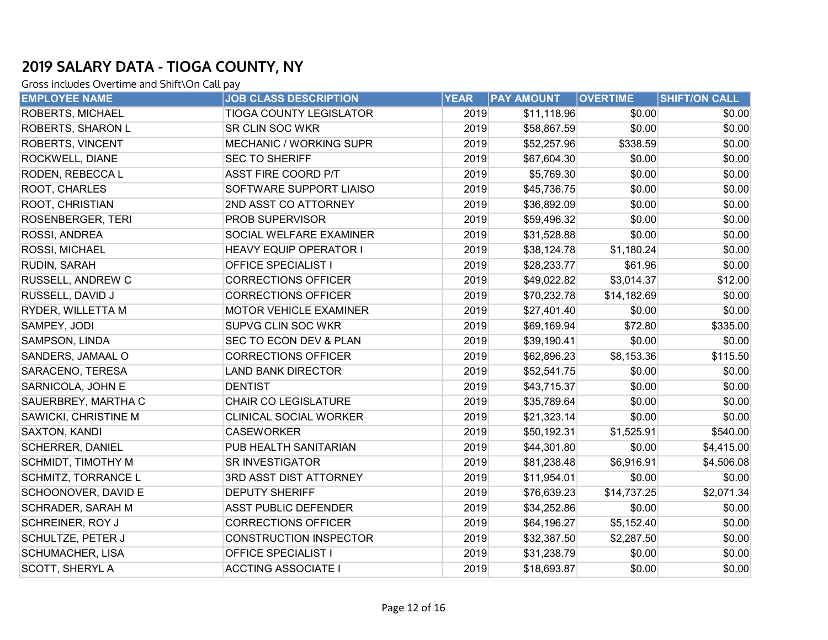| <b>EMPLOYEE NAME</b>       | <b>JOB CLASS DESCRIPTION</b>   | <b>YEAR</b> | <b>PAY AMOUNT</b> | <b>OVERTIME</b> | <b>SHIFT/ON CALL</b> |
|----------------------------|--------------------------------|-------------|-------------------|-----------------|----------------------|
| <b>ROBERTS, MICHAEL</b>    | <b>TIOGA COUNTY LEGISLATOR</b> | 2019        | \$11,118.96       | \$0.00          | \$0.00               |
| <b>ROBERTS, SHARON L</b>   | SR CLIN SOC WKR                | 2019        | \$58,867.59       | \$0.00          | \$0.00               |
| <b>ROBERTS, VINCENT</b>    | <b>MECHANIC / WORKING SUPR</b> | 2019        | \$52,257.96       | \$338.59        | \$0.00               |
| ROCKWELL, DIANE            | <b>SEC TO SHERIFF</b>          | 2019        | \$67,604.30       | \$0.00          | \$0.00               |
| RODEN, REBECCA L           | <b>ASST FIRE COORD P/T</b>     | 2019        | \$5,769.30        | \$0.00          | \$0.00               |
| ROOT, CHARLES              | SOFTWARE SUPPORT LIAISO        | 2019        | \$45,736.75       | \$0.00          | \$0.00               |
| ROOT, CHRISTIAN            | 2ND ASST CO ATTORNEY           | 2019        | \$36,892.09       | \$0.00          | \$0.00               |
| ROSENBERGER, TERI          | PROB SUPERVISOR                | 2019        | \$59,496.32       | \$0.00          | \$0.00               |
| ROSSI, ANDREA              | SOCIAL WELFARE EXAMINER        | 2019        | \$31,528.88       | \$0.00          | \$0.00               |
| ROSSI, MICHAEL             | <b>HEAVY EQUIP OPERATOR I</b>  | 2019        | \$38,124.78       | \$1,180.24      | \$0.00               |
| RUDIN, SARAH               | <b>OFFICE SPECIALIST I</b>     | 2019        | \$28,233.77       | \$61.96         | \$0.00               |
| RUSSELL, ANDREW C          | <b>CORRECTIONS OFFICER</b>     | 2019        | \$49,022.82       | \$3,014.37      | \$12.00              |
| RUSSELL, DAVID J           | <b>CORRECTIONS OFFICER</b>     | 2019        | \$70,232.78       | \$14,182.69     | \$0.00               |
| RYDER, WILLETTA M          | <b>MOTOR VEHICLE EXAMINER</b>  | 2019        | \$27,401.40       | \$0.00          | \$0.00               |
| SAMPEY, JODI               | SUPVG CLIN SOC WKR             | 2019        | \$69,169.94       | \$72.80         | \$335.00             |
| SAMPSON, LINDA             | SEC TO ECON DEV & PLAN         | 2019        | \$39,190.41       | \$0.00          | \$0.00               |
| SANDERS, JAMAAL O          | <b>CORRECTIONS OFFICER</b>     | 2019        | \$62,896.23       | \$8,153.36      | \$115.50             |
| SARACENO, TERESA           | <b>LAND BANK DIRECTOR</b>      | 2019        | \$52,541.75       | \$0.00          | \$0.00               |
| SARNICOLA, JOHN E          | <b>DENTIST</b>                 | 2019        | \$43,715.37       | \$0.00          | \$0.00               |
| SAUERBREY, MARTHA C        | <b>CHAIR CO LEGISLATURE</b>    | 2019        | \$35,789.64       | \$0.00          | \$0.00               |
| SAWICKI, CHRISTINE M       | <b>CLINICAL SOCIAL WORKER</b>  | 2019        | \$21,323.14       | \$0.00          | \$0.00               |
| SAXTON, KANDI              | <b>CASEWORKER</b>              | 2019        | \$50,192.31       | \$1,525.91      | \$540.00             |
| <b>SCHERRER, DANIEL</b>    | PUB HEALTH SANITARIAN          | 2019        | \$44,301.80       | \$0.00          | \$4,415.00           |
| SCHMIDT, TIMOTHY M         | <b>SR INVESTIGATOR</b>         | 2019        | \$81,238.48       | \$6,916.91      | \$4,506.08           |
| <b>SCHMITZ, TORRANCE L</b> | 3RD ASST DIST ATTORNEY         | 2019        | \$11,954.01       | \$0.00          | \$0.00               |
| SCHOONOVER, DAVID E        | <b>DEPUTY SHERIFF</b>          | 2019        | \$76,639.23       | \$14,737.25     | \$2,071.34           |
| SCHRADER, SARAH M          | <b>ASST PUBLIC DEFENDER</b>    | 2019        | \$34,252.86       | \$0.00          | \$0.00               |
| <b>SCHREINER, ROY J</b>    | <b>CORRECTIONS OFFICER</b>     | 2019        | \$64,196.27       | \$5,152.40      | \$0.00               |
| SCHULTZE, PETER J          | <b>CONSTRUCTION INSPECTOR</b>  | 2019        | \$32,387.50       | \$2,287.50      | \$0.00               |
| <b>SCHUMACHER, LISA</b>    | <b>OFFICE SPECIALIST I</b>     | 2019        | \$31,238.79       | \$0.00          | \$0.00               |
| <b>SCOTT, SHERYL A</b>     | <b>ACCTING ASSOCIATE I</b>     | 2019        | \$18,693.87       | \$0.00          | \$0.00               |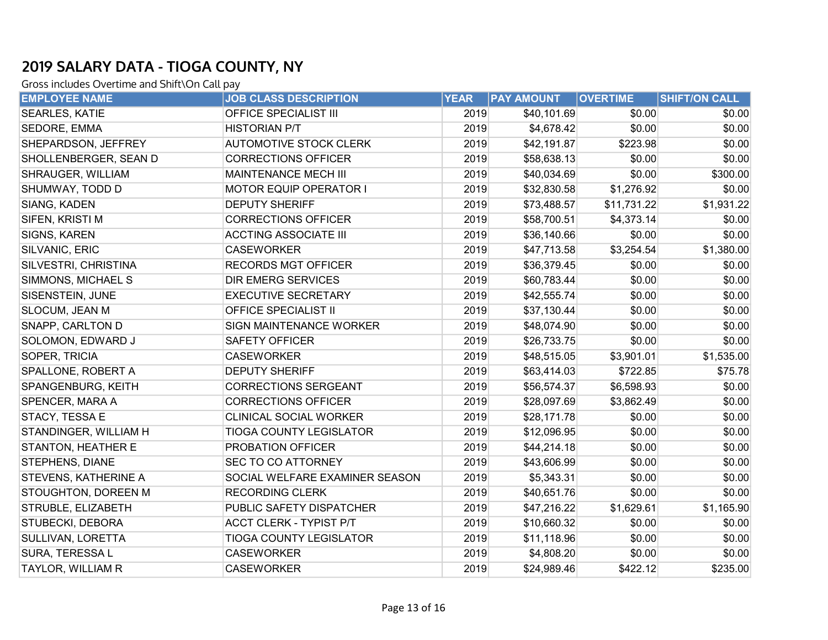| <b>EMPLOYEE NAME</b>      | <b>JOB CLASS DESCRIPTION</b>   | <b>YEAR</b> | <b>PAY AMOUNT</b> | <b>OVERTIME</b> | SHIFT/ON CALL |
|---------------------------|--------------------------------|-------------|-------------------|-----------------|---------------|
| <b>SEARLES, KATIE</b>     | OFFICE SPECIALIST III          | 2019        | \$40,101.69       | \$0.00          | \$0.00        |
| SEDORE, EMMA              | <b>HISTORIAN P/T</b>           | 2019        | \$4,678.42        | \$0.00          | \$0.00        |
| SHEPARDSON, JEFFREY       | <b>AUTOMOTIVE STOCK CLERK</b>  | 2019        | \$42,191.87       | \$223.98        | \$0.00        |
| SHOLLENBERGER, SEAN D     | <b>CORRECTIONS OFFICER</b>     | 2019        | \$58,638.13       | \$0.00          | \$0.00        |
| SHRAUGER, WILLIAM         | <b>MAINTENANCE MECH III</b>    | 2019        | \$40,034.69       | \$0.00          | \$300.00      |
| SHUMWAY, TODD D           | <b>MOTOR EQUIP OPERATOR I</b>  | 2019        | \$32,830.58       | \$1,276.92      | \$0.00        |
| SIANG, KADEN              | <b>DEPUTY SHERIFF</b>          | 2019        | \$73,488.57       | \$11,731.22     | \$1,931.22    |
| SIFEN, KRISTI M           | <b>CORRECTIONS OFFICER</b>     | 2019        | \$58,700.51       | \$4,373.14      | \$0.00        |
| SIGNS, KAREN              | <b>ACCTING ASSOCIATE III</b>   | 2019        | \$36,140.66       | \$0.00          | \$0.00        |
| SILVANIC, ERIC            | <b>CASEWORKER</b>              | 2019        | \$47,713.58       | \$3,254.54      | \$1,380.00    |
| SILVESTRI, CHRISTINA      | <b>RECORDS MGT OFFICER</b>     | 2019        | \$36,379.45       | \$0.00          | \$0.00        |
| SIMMONS, MICHAEL S        | <b>DIR EMERG SERVICES</b>      | 2019        | \$60,783.44       | \$0.00          | \$0.00        |
| SISENSTEIN, JUNE          | <b>EXECUTIVE SECRETARY</b>     | 2019        | \$42,555.74       | \$0.00          | \$0.00        |
| SLOCUM, JEAN M            | <b>OFFICE SPECIALIST II</b>    | 2019        | \$37,130.44       | \$0.00          | \$0.00        |
| SNAPP, CARLTON D          | SIGN MAINTENANCE WORKER        | 2019        | \$48,074.90       | \$0.00          | \$0.00        |
| SOLOMON, EDWARD J         | <b>SAFETY OFFICER</b>          | 2019        | \$26,733.75       | \$0.00          | \$0.00        |
| SOPER, TRICIA             | <b>CASEWORKER</b>              | 2019        | \$48,515.05       | \$3,901.01      | \$1,535.00    |
| SPALLONE, ROBERT A        | <b>DEPUTY SHERIFF</b>          | 2019        | \$63,414.03       | \$722.85        | \$75.78       |
| SPANGENBURG, KEITH        | <b>CORRECTIONS SERGEANT</b>    | 2019        | \$56,574.37       | \$6,598.93      | \$0.00        |
| SPENCER, MARA A           | <b>CORRECTIONS OFFICER</b>     | 2019        | \$28,097.69       | \$3,862.49      | \$0.00        |
| STACY, TESSA E            | CLINICAL SOCIAL WORKER         | 2019        | \$28,171.78       | \$0.00          | \$0.00        |
| STANDINGER, WILLIAM H     | <b>TIOGA COUNTY LEGISLATOR</b> | 2019        | \$12,096.95       | \$0.00          | \$0.00        |
| <b>STANTON, HEATHER E</b> | <b>PROBATION OFFICER</b>       | 2019        | \$44,214.18       | \$0.00          | \$0.00        |
| STEPHENS, DIANE           | <b>SEC TO CO ATTORNEY</b>      | 2019        | \$43,606.99       | \$0.00          | \$0.00        |
| STEVENS, KATHERINE A      | SOCIAL WELFARE EXAMINER SEASON | 2019        | \$5,343.31        | \$0.00          | \$0.00        |
| STOUGHTON, DOREEN M       | <b>RECORDING CLERK</b>         | 2019        | \$40,651.76       | \$0.00          | \$0.00        |
| STRUBLE, ELIZABETH        | PUBLIC SAFETY DISPATCHER       | 2019        | \$47,216.22       | \$1,629.61      | \$1,165.90    |
| STUBECKI, DEBORA          | <b>ACCT CLERK - TYPIST P/T</b> | 2019        | \$10,660.32       | \$0.00          | \$0.00        |
| <b>SULLIVAN, LORETTA</b>  | <b>TIOGA COUNTY LEGISLATOR</b> | 2019        | \$11,118.96       | \$0.00          | \$0.00        |
| SURA, TERESSA L           | <b>CASEWORKER</b>              | 2019        | \$4,808.20        | \$0.00          | \$0.00        |
| <b>TAYLOR, WILLIAM R</b>  | <b>CASEWORKER</b>              | 2019        | \$24,989.46       | \$422.12        | \$235.00      |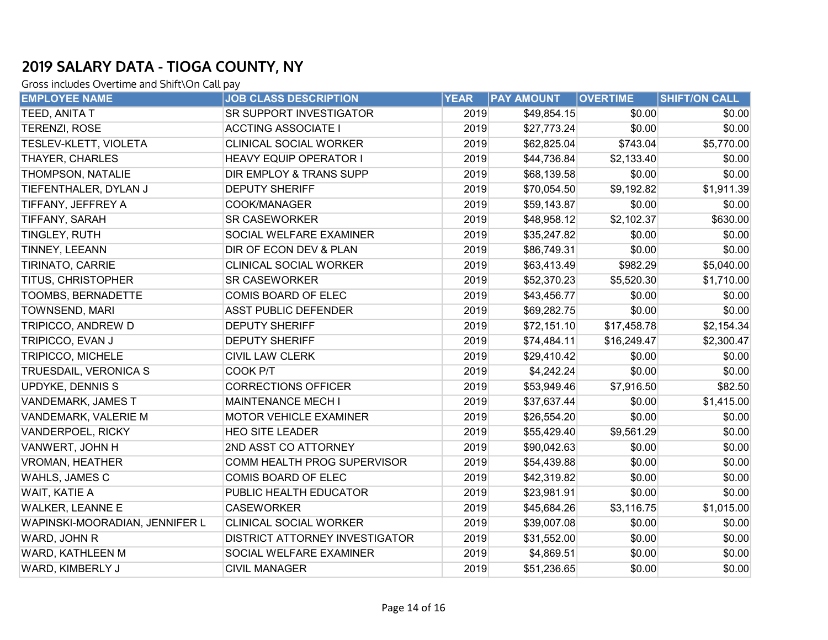| <b>EMPLOYEE NAME</b>           | <b>JOB CLASS DESCRIPTION</b>       | <b>YEAR</b> | <b>PAY AMOUNT</b> | <b>OVERTIME</b> | <b>SHIFT/ON CALL</b> |
|--------------------------------|------------------------------------|-------------|-------------------|-----------------|----------------------|
| TEED, ANITA T                  | SR SUPPORT INVESTIGATOR            | 2019        | \$49,854.15       | \$0.00          | \$0.00               |
| TERENZI, ROSE                  | <b>ACCTING ASSOCIATE I</b>         | 2019        | \$27,773.24       | \$0.00          | \$0.00               |
| TESLEV-KLETT, VIOLETA          | <b>CLINICAL SOCIAL WORKER</b>      | 2019        | \$62,825.04       | \$743.04        | \$5,770.00           |
| THAYER, CHARLES                | <b>HEAVY EQUIP OPERATOR I</b>      | 2019        | \$44,736.84       | \$2,133.40      | \$0.00               |
| THOMPSON, NATALIE              | <b>DIR EMPLOY &amp; TRANS SUPP</b> | 2019        | \$68,139.58       | \$0.00          | \$0.00               |
| TIEFENTHALER, DYLAN J          | <b>DEPUTY SHERIFF</b>              | 2019        | \$70,054.50       | \$9,192.82      | \$1,911.39           |
| TIFFANY, JEFFREY A             | COOK/MANAGER                       | 2019        | \$59,143.87       | \$0.00          | \$0.00               |
| TIFFANY, SARAH                 | <b>SR CASEWORKER</b>               | 2019        | \$48,958.12       | \$2,102.37      | \$630.00             |
| TINGLEY, RUTH                  | SOCIAL WELFARE EXAMINER            | 2019        | \$35,247.82       | \$0.00          | \$0.00               |
| TINNEY, LEEANN                 | DIR OF ECON DEV & PLAN             | 2019        | \$86,749.31       | \$0.00          | \$0.00               |
| TIRINATO, CARRIE               | <b>CLINICAL SOCIAL WORKER</b>      | 2019        | \$63,413.49       | \$982.29        | \$5,040.00           |
| TITUS, CHRISTOPHER             | <b>SR CASEWORKER</b>               | 2019        | \$52,370.23       | \$5,520.30      | \$1,710.00           |
| TOOMBS, BERNADETTE             | COMIS BOARD OF ELEC                | 2019        | \$43,456.77       | \$0.00          | \$0.00               |
| TOWNSEND, MARI                 | <b>ASST PUBLIC DEFENDER</b>        | 2019        | \$69,282.75       | \$0.00          | \$0.00               |
| TRIPICCO, ANDREW D             | <b>DEPUTY SHERIFF</b>              | 2019        | \$72,151.10       | \$17,458.78     | \$2,154.34           |
| TRIPICCO, EVAN J               | <b>DEPUTY SHERIFF</b>              | 2019        | \$74,484.11       | \$16,249.47     | \$2,300.47           |
| TRIPICCO, MICHELE              | <b>CIVIL LAW CLERK</b>             | 2019        | \$29,410.42       | \$0.00          | \$0.00               |
| TRUESDAIL, VERONICA S          | COOK P/T                           | 2019        | \$4,242.24        | \$0.00          | \$0.00               |
| UPDYKE, DENNIS S               | <b>CORRECTIONS OFFICER</b>         | 2019        | \$53,949.46       | \$7,916.50      | \$82.50              |
| <b>VANDEMARK, JAMES T</b>      | <b>MAINTENANCE MECH I</b>          | 2019        | \$37,637.44       | \$0.00          | \$1,415.00           |
| VANDEMARK, VALERIE M           | <b>MOTOR VEHICLE EXAMINER</b>      | 2019        | \$26,554.20       | \$0.00          | \$0.00               |
| VANDERPOEL, RICKY              | <b>HEO SITE LEADER</b>             | 2019        | \$55,429.40       | \$9,561.29      | \$0.00               |
| VANWERT, JOHN H                | 2ND ASST CO ATTORNEY               | 2019        | \$90,042.63       | \$0.00          | \$0.00               |
| <b>VROMAN, HEATHER</b>         | COMM HEALTH PROG SUPERVISOR        | 2019        | \$54,439.88       | \$0.00          | \$0.00               |
| WAHLS, JAMES C                 | COMIS BOARD OF ELEC                | 2019        | \$42,319.82       | \$0.00          | \$0.00               |
| WAIT, KATIE A                  | PUBLIC HEALTH EDUCATOR             | 2019        | \$23,981.91       | \$0.00          | \$0.00               |
| <b>WALKER, LEANNE E</b>        | <b>CASEWORKER</b>                  | 2019        | \$45,684.26       | \$3,116.75      | \$1,015.00           |
| WAPINSKI-MOORADIAN, JENNIFER L | <b>CLINICAL SOCIAL WORKER</b>      | 2019        | \$39,007.08       | \$0.00          | \$0.00               |
| WARD, JOHN R                   | DISTRICT ATTORNEY INVESTIGATOR     | 2019        | \$31,552.00       | \$0.00          | \$0.00               |
| WARD, KATHLEEN M               | SOCIAL WELFARE EXAMINER            | 2019        | \$4,869.51        | \$0.00          | \$0.00               |
| WARD, KIMBERLY J               | <b>CIVIL MANAGER</b>               | 2019        | \$51,236.65       | \$0.00          | \$0.00               |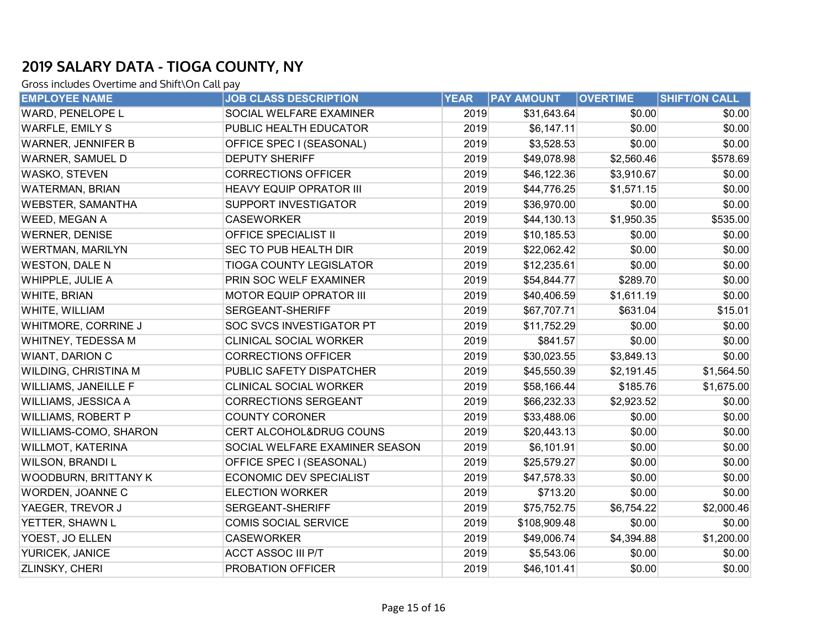| <b>EMPLOYEE NAME</b>     | <b>JOB CLASS DESCRIPTION</b>   | <b>YEAR</b> | <b>PAY AMOUNT</b> | <b>OVERTIME</b> | SHIFT/ON CALL |
|--------------------------|--------------------------------|-------------|-------------------|-----------------|---------------|
| WARD, PENELOPE L         | SOCIAL WELFARE EXAMINER        | 2019        | \$31,643.64       | \$0.00          | \$0.00        |
| <b>WARFLE, EMILY S</b>   | PUBLIC HEALTH EDUCATOR         | 2019        | \$6,147.11        | \$0.00          | \$0.00        |
| WARNER, JENNIFER B       | OFFICE SPEC I (SEASONAL)       | 2019        | \$3,528.53        | \$0.00          | \$0.00        |
| WARNER, SAMUEL D         | <b>DEPUTY SHERIFF</b>          | 2019        | \$49,078.98       | \$2,560.46      | \$578.69      |
| WASKO, STEVEN            | <b>CORRECTIONS OFFICER</b>     | 2019        | \$46,122.36       | \$3,910.67      | \$0.00        |
| <b>WATERMAN, BRIAN</b>   | <b>HEAVY EQUIP OPRATOR III</b> | 2019        | \$44,776.25       | \$1,571.15      | \$0.00        |
| <b>WEBSTER, SAMANTHA</b> | SUPPORT INVESTIGATOR           | 2019        | \$36,970.00       | \$0.00          | \$0.00        |
| WEED, MEGAN A            | <b>CASEWORKER</b>              | 2019        | \$44,130.13       | \$1,950.35      | \$535.00      |
| <b>WERNER, DENISE</b>    | <b>OFFICE SPECIALIST II</b>    | 2019        | \$10,185.53       | \$0.00          | \$0.00        |
| <b>WERTMAN, MARILYN</b>  | SEC TO PUB HEALTH DIR          | 2019        | \$22,062.42       | \$0.00          | \$0.00        |
| <b>WESTON, DALE N</b>    | <b>TIOGA COUNTY LEGISLATOR</b> | 2019        | \$12,235.61       | \$0.00          | \$0.00        |
| WHIPPLE, JULIE A         | PRIN SOC WELF EXAMINER         | 2019        | \$54,844.77       | \$289.70        | \$0.00        |
| WHITE, BRIAN             | <b>MOTOR EQUIP OPRATOR III</b> | 2019        | \$40,406.59       | \$1,611.19      | \$0.00        |
| WHITE, WILLIAM           | SERGEANT-SHERIFF               | 2019        | \$67,707.71       | \$631.04        | \$15.01       |
| WHITMORE, CORRINE J      | SOC SVCS INVESTIGATOR PT       | 2019        | \$11,752.29       | \$0.00          | \$0.00        |
| WHITNEY, TEDESSA M       | CLINICAL SOCIAL WORKER         | 2019        | \$841.57          | \$0.00          | \$0.00        |
| <b>WIANT, DARION C</b>   | <b>CORRECTIONS OFFICER</b>     | 2019        | \$30,023.55       | \$3,849.13      | \$0.00        |
| WILDING, CHRISTINA M     | PUBLIC SAFETY DISPATCHER       | 2019        | \$45,550.39       | \$2,191.45      | \$1,564.50    |
| WILLIAMS, JANEILLE F     | CLINICAL SOCIAL WORKER         | 2019        | \$58,166.44       | \$185.76        | \$1,675.00    |
| WILLIAMS, JESSICA A      | <b>CORRECTIONS SERGEANT</b>    | 2019        | \$66,232.33       | \$2,923.52      | \$0.00        |
| WILLIAMS, ROBERT P       | <b>COUNTY CORONER</b>          | 2019        | \$33,488.06       | \$0.00          | \$0.00        |
| WILLIAMS-COMO, SHARON    | CERT ALCOHOL&DRUG COUNS        | 2019        | \$20,443.13       | \$0.00          | \$0.00        |
| <b>WILLMOT, KATERINA</b> | SOCIAL WELFARE EXAMINER SEASON | 2019        | \$6,101.91        | \$0.00          | \$0.00        |
| WILSON, BRANDI L         | OFFICE SPEC I (SEASONAL)       | 2019        | \$25,579.27       | \$0.00          | \$0.00        |
| WOODBURN, BRITTANY K     | ECONOMIC DEV SPECIALIST        | 2019        | \$47,578.33       | \$0.00          | \$0.00        |
| WORDEN, JOANNE C         | <b>ELECTION WORKER</b>         | 2019        | \$713.20          | \$0.00          | \$0.00        |
| YAEGER, TREVOR J         | SERGEANT-SHERIFF               | 2019        | \$75,752.75       | \$6,754.22      | \$2,000.46    |
| YETTER, SHAWN L          | <b>COMIS SOCIAL SERVICE</b>    | 2019        | \$108,909.48      | \$0.00          | \$0.00        |
| YOEST, JO ELLEN          | <b>CASEWORKER</b>              | 2019        | \$49,006.74       | \$4,394.88      | \$1,200.00    |
| YURICEK, JANICE          | <b>ACCT ASSOC III P/T</b>      | 2019        | \$5,543.06        | \$0.00          | \$0.00        |
| <b>ZLINSKY, CHERI</b>    | PROBATION OFFICER              | 2019        | \$46,101.41       | \$0.00          | \$0.00        |